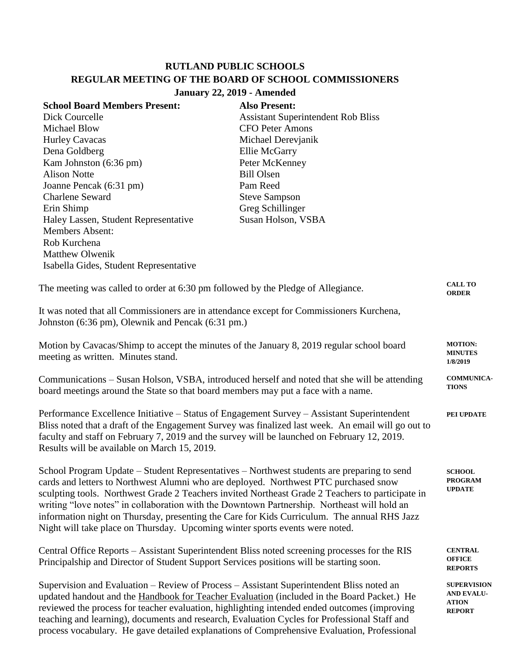## **RUTLAND PUBLIC SCHOOLS REGULAR MEETING OF THE BOARD OF SCHOOL COMMISSIONERS January 22, 2019 - Amended**

| <b>School Board Members Present:</b>   | <b>Also Present:</b>                      |
|----------------------------------------|-------------------------------------------|
| Dick Courcelle                         | <b>Assistant Superintendent Rob Bliss</b> |
| Michael Blow                           | CFO Peter Amons                           |
| <b>Hurley Cavacas</b>                  | Michael Derevianik                        |
| Dena Goldberg                          | Ellie McGarry                             |
| Kam Johnston (6:36 pm)                 | Peter McKenney                            |
| <b>Alison Notte</b>                    | <b>Bill Olsen</b>                         |
| Joanne Pencak (6:31 pm)                | Pam Reed                                  |
| <b>Charlene Seward</b>                 | <b>Steve Sampson</b>                      |
| Erin Shimp                             | Greg Schillinger                          |
| Haley Lassen, Student Representative   | Susan Holson, VSBA                        |
| <b>Members Absent:</b>                 |                                           |
| Rob Kurchena                           |                                           |
| <b>Matthew Olwenik</b>                 |                                           |
| Isabella Gides, Student Representative |                                           |
|                                        |                                           |

| The meeting was called to order at 6:30 pm followed by the Pledge of Allegiance.                                                                                                                                                                                                                                                                                                                                                                                                                                                                                     | <b>CALL TO</b><br><b>ORDER</b>                                           |
|----------------------------------------------------------------------------------------------------------------------------------------------------------------------------------------------------------------------------------------------------------------------------------------------------------------------------------------------------------------------------------------------------------------------------------------------------------------------------------------------------------------------------------------------------------------------|--------------------------------------------------------------------------|
| It was noted that all Commissioners are in attendance except for Commissioners Kurchena,<br>Johnston (6:36 pm), Olewnik and Pencak (6:31 pm.)                                                                                                                                                                                                                                                                                                                                                                                                                        |                                                                          |
| Motion by Cavacas/Shimp to accept the minutes of the January 8, 2019 regular school board<br>meeting as written. Minutes stand.                                                                                                                                                                                                                                                                                                                                                                                                                                      | <b>MOTION:</b><br><b>MINUTES</b><br>1/8/2019                             |
| Communications – Susan Holson, VSBA, introduced herself and noted that she will be attending<br>board meetings around the State so that board members may put a face with a name.                                                                                                                                                                                                                                                                                                                                                                                    | <b>COMMUNICA-</b><br><b>TIONS</b>                                        |
| Performance Excellence Initiative - Status of Engagement Survey - Assistant Superintendent<br>Bliss noted that a draft of the Engagement Survey was finalized last week. An email will go out to<br>faculty and staff on February 7, 2019 and the survey will be launched on February 12, 2019.<br>Results will be available on March 15, 2019.                                                                                                                                                                                                                      | PEI UPDATE                                                               |
| School Program Update – Student Representatives – Northwest students are preparing to send<br>cards and letters to Northwest Alumni who are deployed. Northwest PTC purchased snow<br>sculpting tools. Northwest Grade 2 Teachers invited Northeast Grade 2 Teachers to participate in<br>writing "love notes" in collaboration with the Downtown Partnership. Northeast will hold an<br>information night on Thursday, presenting the Care for Kids Curriculum. The annual RHS Jazz<br>Night will take place on Thursday. Upcoming winter sports events were noted. | <b>SCHOOL</b><br><b>PROGRAM</b><br><b>UPDATE</b>                         |
| Central Office Reports – Assistant Superintendent Bliss noted screening processes for the RIS<br>Principalship and Director of Student Support Services positions will be starting soon.                                                                                                                                                                                                                                                                                                                                                                             | <b>CENTRAL</b><br><b>OFFICE</b><br><b>REPORTS</b>                        |
| Supervision and Evaluation - Review of Process - Assistant Superintendent Bliss noted an<br>updated handout and the Handbook for Teacher Evaluation (included in the Board Packet.) He<br>reviewed the process for teacher evaluation, highlighting intended ended outcomes (improving                                                                                                                                                                                                                                                                               | <b>SUPERVISION</b><br><b>AND EVALU-</b><br><b>ATION</b><br><b>REPORT</b> |

teaching and learning), documents and research, Evaluation Cycles for Professional Staff and process vocabulary. He gave detailed explanations of Comprehensive Evaluation, Professional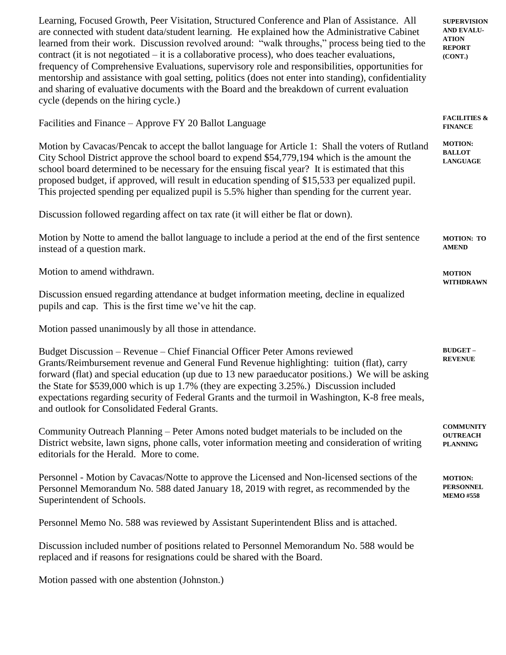Learning, Focused Growth, Peer Visitation, Structured Conference and Plan of Assistance. All are connected with student data/student learning. He explained how the Administrative Cabinet learned from their work. Discussion revolved around: "walk throughs," process being tied to the contract (it is not negotiated – it is a collaborative process), who does teacher evaluations, frequency of Comprehensive Evaluations, supervisory role and responsibilities, opportunities for mentorship and assistance with goal setting, politics (does not enter into standing), confidentiality and sharing of evaluative documents with the Board and the breakdown of current evaluation cycle (depends on the hiring cycle.) **SUPERVISION AND EVALU-ATION REPORT (CONT.)**

Facilities and Finance – Approve FY 20 Ballot Language Motion by Cavacas/Pencak to accept the ballot language for Article 1: Shall the voters of Rutland City School District approve the school board to expend \$54,779,194 which is the amount the school board determined to be necessary for the ensuing fiscal year? It is estimated that this proposed budget, if approved, will result in education spending of \$15,533 per equalized pupil. This projected spending per equalized pupil is 5.5% higher than spending for the current year. Discussion followed regarding affect on tax rate (it will either be flat or down). Motion by Notte to amend the ballot language to include a period at the end of the first sentence instead of a question mark. Motion to amend withdrawn. Discussion ensued regarding attendance at budget information meeting, decline in equalized pupils and cap. This is the first time we've hit the cap. Motion passed unanimously by all those in attendance. Budget Discussion – Revenue – Chief Financial Officer Peter Amons reviewed Grants/Reimbursement revenue and General Fund Revenue highlighting: tuition (flat), carry forward (flat) and special education (up due to 13 new paraeducator positions.) We will be asking the State for \$539,000 which is up 1.7% (they are expecting 3.25%.) Discussion included expectations regarding security of Federal Grants and the turmoil in Washington, K-8 free meals, and outlook for Consolidated Federal Grants. **FACILITIES & FINANCE MOTION: BALLOT LANGUAGE MOTION: TO AMEND MOTION WITHDRAWN BUDGET – REVENUE**

Community Outreach Planning – Peter Amons noted budget materials to be included on the District website, lawn signs, phone calls, voter information meeting and consideration of writing editorials for the Herald. More to come. **COMMUNITY OUTREACH PLANNING**

Personnel - Motion by Cavacas/Notte to approve the Licensed and Non-licensed sections of the Personnel Memorandum No. 588 dated January 18, 2019 with regret, as recommended by the Superintendent of Schools. **MOTION: PERSONNEL MEMO #558**

Personnel Memo No. 588 was reviewed by Assistant Superintendent Bliss and is attached.

Discussion included number of positions related to Personnel Memorandum No. 588 would be replaced and if reasons for resignations could be shared with the Board.

Motion passed with one abstention (Johnston.)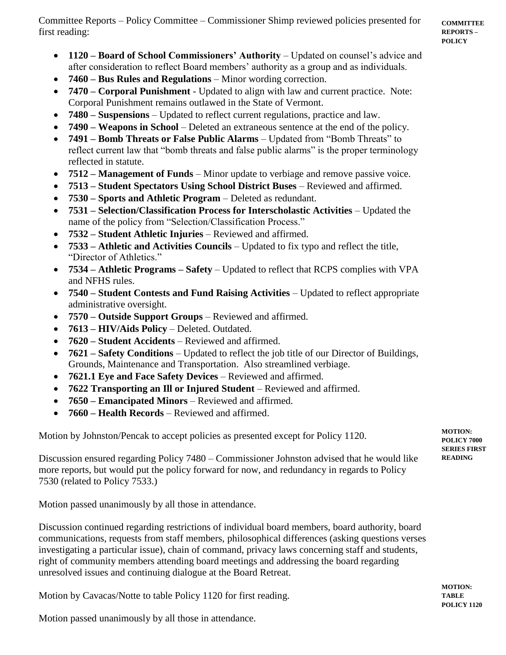Committee Reports – Policy Committee – Commissioner Shimp reviewed policies presented for first reading:

- **1120 – Board of School Commissioners' Authority** Updated on counsel's advice and after consideration to reflect Board members' authority as a group and as individuals.
- **7460 – Bus Rules and Regulations** Minor wording correction.
- **7470 – Corporal Punishment** Updated to align with law and current practice. Note: Corporal Punishment remains outlawed in the State of Vermont.
- **7480 – Suspensions** Updated to reflect current regulations, practice and law.
- **7490 – Weapons in School**  Deleted an extraneous sentence at the end of the policy.
- **7491 – Bomb Threats or False Public Alarms**  Updated from "Bomb Threats" to reflect current law that "bomb threats and false public alarms" is the proper terminology reflected in statute.
- **7512 – Management of Funds** Minor update to verbiage and remove passive voice.
- **7513 – Student Spectators Using School District Buses** Reviewed and affirmed.
- **7530 – Sports and Athletic Program** Deleted as redundant.
- **7531 – Selection/Classification Process for Interscholastic Activities**  Updated the name of the policy from "Selection/Classification Process."
- **7532 – Student Athletic Injuries** Reviewed and affirmed.
- **7533 – Athletic and Activities Councils** Updated to fix typo and reflect the title, "Director of Athletics."
- **7534 – Athletic Programs – Safety** Updated to reflect that RCPS complies with VPA and NFHS rules.
- **7540 – Student Contests and Fund Raising Activities** Updated to reflect appropriate administrative oversight.
- **7570 – Outside Support Groups** Reviewed and affirmed.
- **7613 – HIV/Aids Policy** Deleted. Outdated.
- **7620 – Student Accidents** Reviewed and affirmed.
- **7621 – Safety Conditions** Updated to reflect the job title of our Director of Buildings, Grounds, Maintenance and Transportation. Also streamlined verbiage.
- **7621.1 Eye and Face Safety Devices** Reviewed and affirmed.
- **7622 Transporting an Ill or Injured Student** Reviewed and affirmed.
- **7650 – Emancipated Minors** Reviewed and affirmed.
- **7660 – Health Records** Reviewed and affirmed.

Motion by Johnston/Pencak to accept policies as presented except for Policy 1120.

Discussion ensured regarding Policy 7480 – Commissioner Johnston advised that he would like more reports, but would put the policy forward for now, and redundancy in regards to Policy 7530 (related to Policy 7533.)

Motion passed unanimously by all those in attendance.

Discussion continued regarding restrictions of individual board members, board authority, board communications, requests from staff members, philosophical differences (asking questions verses investigating a particular issue), chain of command, privacy laws concerning staff and students, right of community members attending board meetings and addressing the board regarding unresolved issues and continuing dialogue at the Board Retreat.

Motion by Cavacas/Notte to table Policy 1120 for first reading.

Motion passed unanimously by all those in attendance.

**MOTION: POLICY 7000 SERIES FIRST READING**

**MOTION: TABLE POLICY 1120**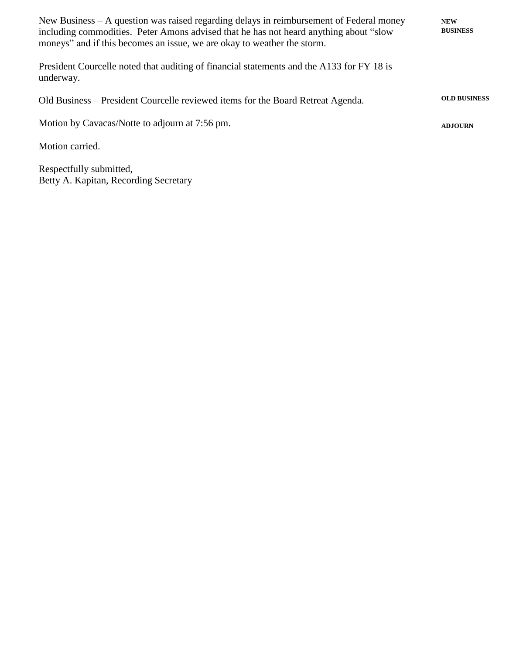| New Business $- A$ question was raised regarding delays in reimbursement of Federal money<br>including commodities. Peter Amons advised that he has not heard anything about "slow"<br>moneys" and if this becomes an issue, we are okay to weather the storm. | <b>NEW</b><br><b>BUSINESS</b> |
|----------------------------------------------------------------------------------------------------------------------------------------------------------------------------------------------------------------------------------------------------------------|-------------------------------|
| President Courcelle noted that auditing of financial statements and the A133 for FY 18 is<br>underway.                                                                                                                                                         |                               |
| Old Business – President Courcelle reviewed items for the Board Retreat Agenda.                                                                                                                                                                                | <b>OLD BUSINESS</b>           |
| Motion by Cavacas/Notte to adjourn at 7:56 pm.                                                                                                                                                                                                                 | <b>ADJOURN</b>                |
| Motion carried.                                                                                                                                                                                                                                                |                               |
| Respectfully submitted,                                                                                                                                                                                                                                        |                               |

Betty A. Kapitan, Recording Secretary